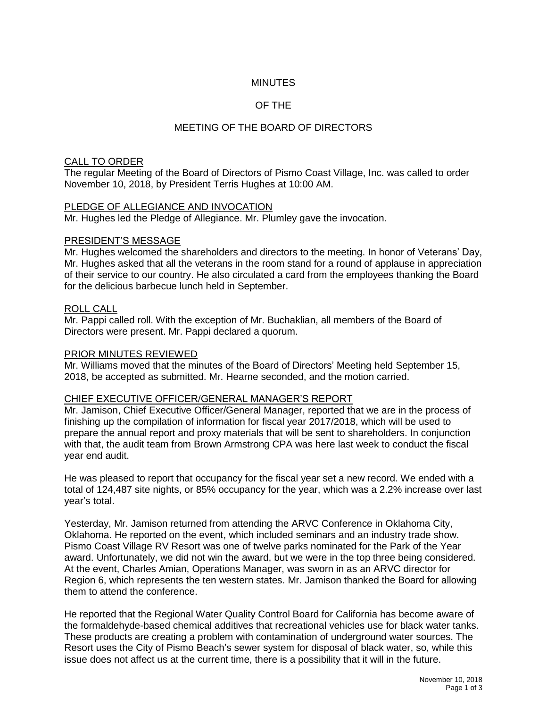## **MINUTES**

# OF THE

## MEETING OF THE BOARD OF DIRECTORS

## CALL TO ORDER

The regular Meeting of the Board of Directors of Pismo Coast Village, Inc. was called to order November 10, 2018, by President Terris Hughes at 10:00 AM.

#### PLEDGE OF ALLEGIANCE AND INVOCATION

Mr. Hughes led the Pledge of Allegiance. Mr. Plumley gave the invocation.

#### PRESIDENT'S MESSAGE

Mr. Hughes welcomed the shareholders and directors to the meeting. In honor of Veterans' Day, Mr. Hughes asked that all the veterans in the room stand for a round of applause in appreciation of their service to our country. He also circulated a card from the employees thanking the Board for the delicious barbecue lunch held in September.

## ROLL CALL

Mr. Pappi called roll. With the exception of Mr. Buchaklian, all members of the Board of Directors were present. Mr. Pappi declared a quorum.

#### PRIOR MINUTES REVIEWED

Mr. Williams moved that the minutes of the Board of Directors' Meeting held September 15, 2018, be accepted as submitted. Mr. Hearne seconded, and the motion carried.

#### CHIEF EXECUTIVE OFFICER/GENERAL MANAGER'S REPORT

Mr. Jamison, Chief Executive Officer/General Manager, reported that we are in the process of finishing up the compilation of information for fiscal year 2017/2018, which will be used to prepare the annual report and proxy materials that will be sent to shareholders. In conjunction with that, the audit team from Brown Armstrong CPA was here last week to conduct the fiscal year end audit.

He was pleased to report that occupancy for the fiscal year set a new record. We ended with a total of 124,487 site nights, or 85% occupancy for the year, which was a 2.2% increase over last year's total.

Yesterday, Mr. Jamison returned from attending the ARVC Conference in Oklahoma City, Oklahoma. He reported on the event, which included seminars and an industry trade show. Pismo Coast Village RV Resort was one of twelve parks nominated for the Park of the Year award. Unfortunately, we did not win the award, but we were in the top three being considered. At the event, Charles Amian, Operations Manager, was sworn in as an ARVC director for Region 6, which represents the ten western states. Mr. Jamison thanked the Board for allowing them to attend the conference.

He reported that the Regional Water Quality Control Board for California has become aware of the formaldehyde-based chemical additives that recreational vehicles use for black water tanks. These products are creating a problem with contamination of underground water sources. The Resort uses the City of Pismo Beach's sewer system for disposal of black water, so, while this issue does not affect us at the current time, there is a possibility that it will in the future.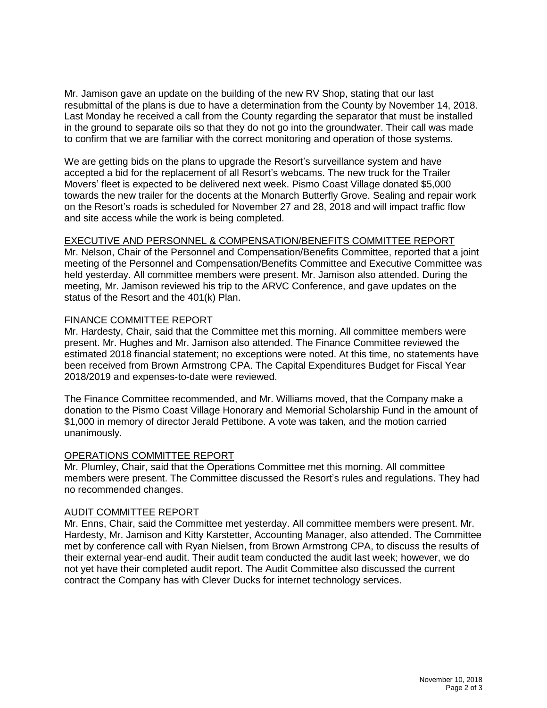Mr. Jamison gave an update on the building of the new RV Shop, stating that our last resubmittal of the plans is due to have a determination from the County by November 14, 2018. Last Monday he received a call from the County regarding the separator that must be installed in the ground to separate oils so that they do not go into the groundwater. Their call was made to confirm that we are familiar with the correct monitoring and operation of those systems.

We are getting bids on the plans to upgrade the Resort's surveillance system and have accepted a bid for the replacement of all Resort's webcams. The new truck for the Trailer Movers' fleet is expected to be delivered next week. Pismo Coast Village donated \$5,000 towards the new trailer for the docents at the Monarch Butterfly Grove. Sealing and repair work on the Resort's roads is scheduled for November 27 and 28, 2018 and will impact traffic flow and site access while the work is being completed.

## EXECUTIVE AND PERSONNEL & COMPENSATION/BENEFITS COMMITTEE REPORT

Mr. Nelson, Chair of the Personnel and Compensation/Benefits Committee, reported that a joint meeting of the Personnel and Compensation/Benefits Committee and Executive Committee was held yesterday. All committee members were present. Mr. Jamison also attended. During the meeting, Mr. Jamison reviewed his trip to the ARVC Conference, and gave updates on the status of the Resort and the 401(k) Plan.

## FINANCE COMMITTEE REPORT

Mr. Hardesty, Chair, said that the Committee met this morning. All committee members were present. Mr. Hughes and Mr. Jamison also attended. The Finance Committee reviewed the estimated 2018 financial statement; no exceptions were noted. At this time, no statements have been received from Brown Armstrong CPA. The Capital Expenditures Budget for Fiscal Year 2018/2019 and expenses-to-date were reviewed.

The Finance Committee recommended, and Mr. Williams moved, that the Company make a donation to the Pismo Coast Village Honorary and Memorial Scholarship Fund in the amount of \$1,000 in memory of director Jerald Pettibone. A vote was taken, and the motion carried unanimously.

#### OPERATIONS COMMITTEE REPORT

Mr. Plumley, Chair, said that the Operations Committee met this morning. All committee members were present. The Committee discussed the Resort's rules and regulations. They had no recommended changes.

#### AUDIT COMMITTEE REPORT

Mr. Enns, Chair, said the Committee met yesterday. All committee members were present. Mr. Hardesty, Mr. Jamison and Kitty Karstetter, Accounting Manager, also attended. The Committee met by conference call with Ryan Nielsen, from Brown Armstrong CPA, to discuss the results of their external year-end audit. Their audit team conducted the audit last week; however, we do not yet have their completed audit report. The Audit Committee also discussed the current contract the Company has with Clever Ducks for internet technology services.